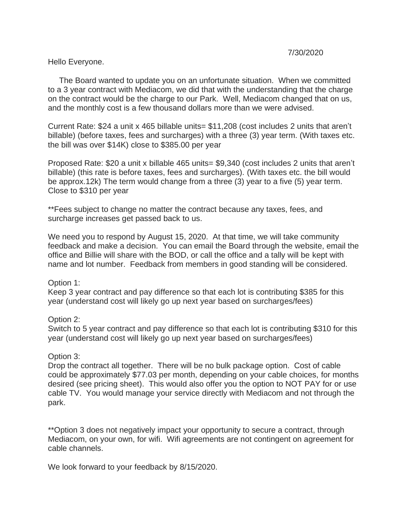## Hello Everyone.

 The Board wanted to update you on an unfortunate situation. When we committed to a 3 year contract with Mediacom, we did that with the understanding that the charge on the contract would be the charge to our Park. Well, Mediacom changed that on us, and the monthly cost is a few thousand dollars more than we were advised.

Current Rate: \$24 a unit x 465 billable units= \$11,208 (cost includes 2 units that aren't billable) (before taxes, fees and surcharges) with a three (3) year term. (With taxes etc. the bill was over \$14K) close to \$385.00 per year

Proposed Rate: \$20 a unit x billable 465 units= \$9,340 (cost includes 2 units that aren't billable) (this rate is before taxes, fees and surcharges). (With taxes etc. the bill would be approx.12k) The term would change from a three (3) year to a five (5) year term. Close to \$310 per year

\*\*Fees subject to change no matter the contract because any taxes, fees, and surcharge increases get passed back to us.

We need you to respond by August 15, 2020. At that time, we will take community feedback and make a decision. You can email the Board through the website, email the office and Billie will share with the BOD, or call the office and a tally will be kept with name and lot number. Feedback from members in good standing will be considered.

## Option 1:

Keep 3 year contract and pay difference so that each lot is contributing \$385 for this year (understand cost will likely go up next year based on surcharges/fees)

## Option 2:

Switch to 5 year contract and pay difference so that each lot is contributing \$310 for this year (understand cost will likely go up next year based on surcharges/fees)

## Option 3:

Drop the contract all together. There will be no bulk package option. Cost of cable could be approximately \$77.03 per month, depending on your cable choices, for months desired (see pricing sheet). This would also offer you the option to NOT PAY for or use cable TV. You would manage your service directly with Mediacom and not through the park.

\*\*Option 3 does not negatively impact your opportunity to secure a contract, through Mediacom, on your own, for wifi. Wifi agreements are not contingent on agreement for cable channels.

We look forward to your feedback by 8/15/2020.